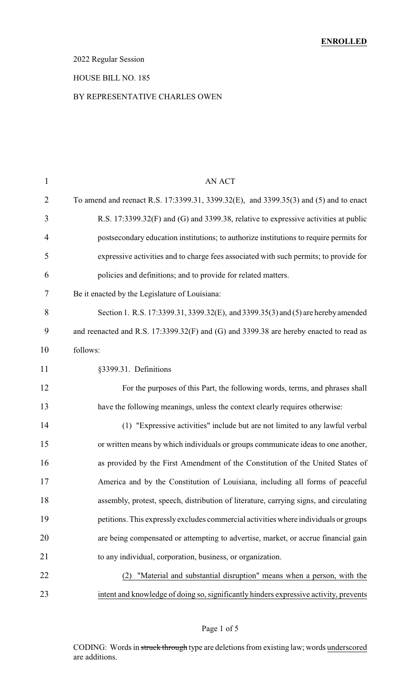### 2022 Regular Session

#### HOUSE BILL NO. 185

#### BY REPRESENTATIVE CHARLES OWEN

| $\mathbf{1}$   | <b>AN ACT</b>                                                                          |
|----------------|----------------------------------------------------------------------------------------|
| $\overline{2}$ | To amend and reenact R.S. 17:3399.31, 3399.32(E), and 3399.35(3) and (5) and to enact  |
| 3              | R.S. 17:3399.32(F) and (G) and 3399.38, relative to expressive activities at public    |
| 4              | postsecondary education institutions; to authorize institutions to require permits for |
| 5              | expressive activities and to charge fees associated with such permits; to provide for  |
| 6              | policies and definitions; and to provide for related matters.                          |
| 7              | Be it enacted by the Legislature of Louisiana:                                         |
| 8              | Section 1. R.S. 17:3399.31, 3399.32(E), and 3399.35(3) and (5) are hereby amended      |
| 9              | and reenacted and R.S. 17:3399.32(F) and (G) and 3399.38 are hereby enacted to read as |
| 10             | follows:                                                                               |
| 11             | §3399.31. Definitions                                                                  |
| 12             | For the purposes of this Part, the following words, terms, and phrases shall           |
| 13             | have the following meanings, unless the context clearly requires otherwise:            |
| 14             | (1) "Expressive activities" include but are not limited to any lawful verbal           |
| 15             | or written means by which individuals or groups communicate ideas to one another,      |
| 16             | as provided by the First Amendment of the Constitution of the United States of         |
| 17             | America and by the Constitution of Louisiana, including all forms of peaceful          |
| 18             | assembly, protest, speech, distribution of literature, carrying signs, and circulating |
| 19             | petitions. This expressly excludes commercial activities where individuals or groups   |
| 20             | are being compensated or attempting to advertise, market, or accrue financial gain     |
| 21             | to any individual, corporation, business, or organization.                             |
| 22             | "Material and substantial disruption" means when a person, with the<br>(2)             |
| 23             | intent and knowledge of doing so, significantly hinders expressive activity, prevents  |

### Page 1 of 5

CODING: Words in struck through type are deletions from existing law; words underscored are additions.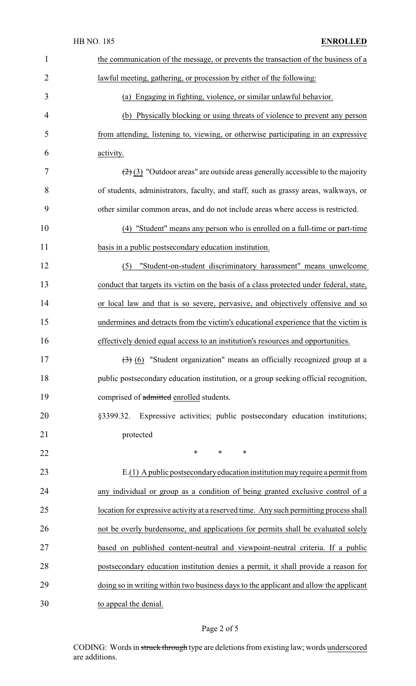|                | <b>HB NO. 185</b><br><b>ENROLLED</b>                                                                  |
|----------------|-------------------------------------------------------------------------------------------------------|
| $\mathbf{1}$   | the communication of the message, or prevents the transaction of the business of a                    |
| $\overline{2}$ | lawful meeting, gathering, or procession by either of the following:                                  |
| 3              | (a) Engaging in fighting, violence, or similar unlawful behavior.                                     |
| 4              | (b) Physically blocking or using threats of violence to prevent any person                            |
| 5              | from attending, listening to, viewing, or otherwise participating in an expressive                    |
| 6              | activity.                                                                                             |
| 7              | $\left(\frac{2}{2}\right)$ (3) "Outdoor areas" are outside areas generally accessible to the majority |
| 8              | of students, administrators, faculty, and staff, such as grassy areas, walkways, or                   |
| 9              | other similar common areas, and do not include areas where access is restricted.                      |
| 10             | (4) "Student" means any person who is enrolled on a full-time or part-time                            |
| 11             | basis in a public postsecondary education institution.                                                |
| 12             | "Student-on-student discriminatory harassment" means unwelcome<br>(5)                                 |
| 13             | conduct that targets its victim on the basis of a class protected under federal, state,               |
| 14             | or local law and that is so severe, pervasive, and objectively offensive and so                       |
| 15             | undermines and detracts from the victim's educational experience that the victim is                   |
| 16             | effectively denied equal access to an institution's resources and opportunities.                      |
| 17             | $\left(\frac{1}{2}\right)$ (6) "Student organization" means an officially recognized group at a       |
| 18             | public postsecondary education institution, or a group seeking official recognition,                  |
| 19             | comprised of admitted enrolled students.                                                              |
| 20             | Expressive activities; public postsecondary education institutions;<br>§3399.32.                      |
| 21             | protected                                                                                             |
| 22             | *<br>∗<br>∗                                                                                           |
| 23             | $E(1)$ A public postsecondary education institution may require a permit from                         |
| 24             | any individual or group as a condition of being granted exclusive control of a                        |
| 25             | location for expressive activity at a reserved time. Any such permitting process shall                |
| 26             | not be overly burdensome, and applications for permits shall be evaluated solely                      |
| 27             | based on published content-neutral and viewpoint-neutral criteria. If a public                        |
| 28             | postsecondary education institution denies a permit, it shall provide a reason for                    |
| 29             | doing so in writing within two business days to the applicant and allow the applicant                 |
| 30             | to appeal the denial.                                                                                 |

# Page 2 of 5

CODING: Words in struck through type are deletions from existing law; words underscored are additions.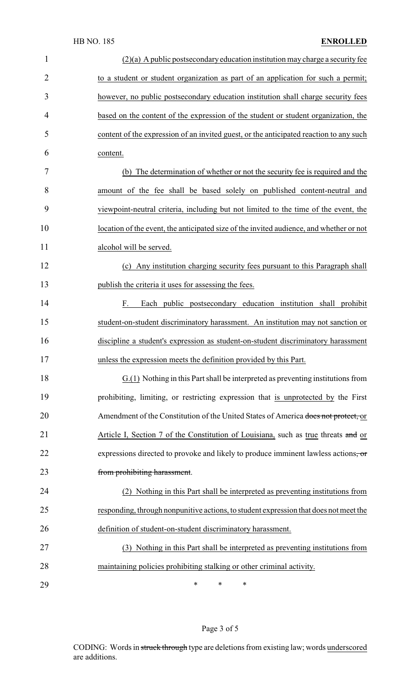| $\mathbf{1}$   | $(2)(a)$ A public postsecondary education institution may charge a security fee         |
|----------------|-----------------------------------------------------------------------------------------|
| $\overline{2}$ | to a student or student organization as part of an application for such a permit;       |
| 3              | however, no public postsecondary education institution shall charge security fees       |
| 4              | based on the content of the expression of the student or student organization, the      |
| 5              | content of the expression of an invited guest, or the anticipated reaction to any such  |
| 6              | content.                                                                                |
| 7              | (b) The determination of whether or not the security fee is required and the            |
| 8              | amount of the fee shall be based solely on published content-neutral and                |
| 9              | viewpoint-neutral criteria, including but not limited to the time of the event, the     |
| 10             | location of the event, the anticipated size of the invited audience, and whether or not |
| 11             | alcohol will be served.                                                                 |
| 12             | (c) Any institution charging security fees pursuant to this Paragraph shall             |
| 13             | publish the criteria it uses for assessing the fees.                                    |
| 14             | Each public postsecondary education institution shall prohibit<br>F.                    |
| 15             | student-on-student discriminatory harassment. An institution may not sanction or        |
| 16             | discipline a student's expression as student-on-student discriminatory harassment       |
| 17             | unless the expression meets the definition provided by this Part                        |
| 18             | G.(1) Nothing in this Part shall be interpreted as preventing institutions from         |
| 19             | prohibiting, limiting, or restricting expression that is unprotected by the First       |
| 20             | Amendment of the Constitution of the United States of America does not protect, or      |
| 21             | Article I, Section 7 of the Constitution of Louisiana, such as true threats and or      |
| 22             | expressions directed to provoke and likely to produce imminent lawless actions, or      |
| 23             | from prohibiting harassment.                                                            |
| 24             | (2) Nothing in this Part shall be interpreted as preventing institutions from           |
| 25             | responding, through nonpunitive actions, to student expression that does not meet the   |
| 26             | definition of student-on-student discriminatory harassment.                             |
| 27             | (3) Nothing in this Part shall be interpreted as preventing institutions from           |
| 28             | maintaining policies prohibiting stalking or other criminal activity.                   |
| 29             | ∗<br>$\ast$<br>∗                                                                        |

# Page 3 of 5

CODING: Words in struck through type are deletions from existing law; words underscored are additions.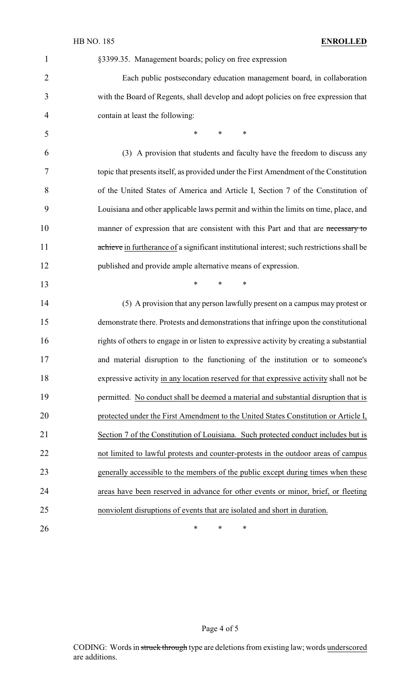### HB NO. 185 **ENROLLED**

| $\mathbf{1}$   | §3399.35. Management boards; policy on free expression                                     |
|----------------|--------------------------------------------------------------------------------------------|
| $\overline{2}$ | Each public postsecondary education management board, in collaboration                     |
| 3              | with the Board of Regents, shall develop and adopt policies on free expression that        |
| 4              | contain at least the following:                                                            |
| 5              | $\ast$<br>$*$ and $*$<br>$\ast$                                                            |
| 6              | (3) A provision that students and faculty have the freedom to discuss any                  |
| 7              | topic that presents itself, as provided under the First Amendment of the Constitution      |
| 8              | of the United States of America and Article I, Section 7 of the Constitution of            |
| 9              | Louisiana and other applicable laws permit and within the limits on time, place, and       |
| 10             | manner of expression that are consistent with this Part and that are necessary to          |
| 11             | achieve in furtherance of a significant institutional interest; such restrictions shall be |
| 12             | published and provide ample alternative means of expression.                               |
| 13             | $\ast$<br>$*$ and $*$<br>$\ast$                                                            |
| 14             | (5) A provision that any person lawfully present on a campus may protest or                |
| 15             | demonstrate there. Protests and demonstrations that infringe upon the constitutional       |
| 16             | rights of others to engage in or listen to expressive activity by creating a substantial   |
| 17             | and material disruption to the functioning of the institution or to someone's              |
| 18             | expressive activity in any location reserved for that expressive activity shall not be     |
| 19             | permitted. No conduct shall be deemed a material and substantial disruption that is        |
| 20             | protected under the First Amendment to the United States Constitution or Article I,        |
| 21             | Section 7 of the Constitution of Louisiana. Such protected conduct includes but is         |
| 22             | not limited to lawful protests and counter-protests in the outdoor areas of campus         |
| 23             | generally accessible to the members of the public except during times when these           |
| 24             | areas have been reserved in advance for other events or minor, brief, or fleeting          |
| 25             | nonviolent disruptions of events that are isolated and short in duration.                  |
| 26             | $\ast$<br>$\ast$<br>$\ast$                                                                 |